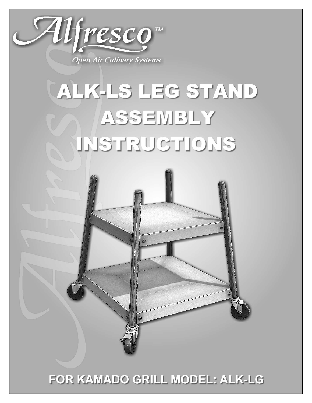

# ALK-LS LEG STAND ASSEMBLY INSTRUCTIONS



# FOR KAMADO GRILL MODEL: ALK-LG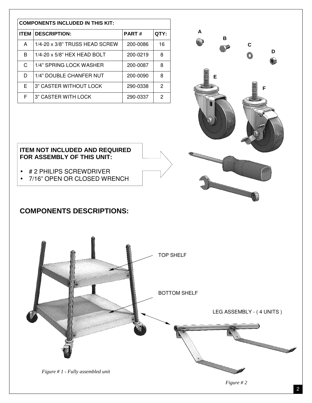| <b>COMPONENTS INCLUDED IN THIS KIT:</b> |                                |              |      |
|-----------------------------------------|--------------------------------|--------------|------|
| <b>ITEM</b>                             | <b>DESCRIPTION:</b>            | <b>PART#</b> | QTY: |
| A                                       | 1/4-20 x 3/8" TRUSS HEAD SCREW | 200-0086     | 16   |
| B                                       | $1/4$ -20 x 5/8" HEX HEAD BOLT | 200-0219     | 8    |
| C.                                      | 1/4" SPRING LOCK WASHER        | 200-0087     | 8    |
| D                                       | 1/4" DOUBLE CHANFER NUT        | 200-0090     | 8    |
| F                                       | 3" CASTER WITHOUT LOCK         | 290-0338     | 2    |
| F                                       | 3" CASTER WITH LOCK            | 290-0337     | 2    |



- # 2 PHILIPS SCREWDRIVER
- 7/16" OPEN OR CLOSED WRENCH

## **COMPONENTS DESCRIPTIONS:**



**A** 

**B** 

**E** 

**C** 

**D** 

**F**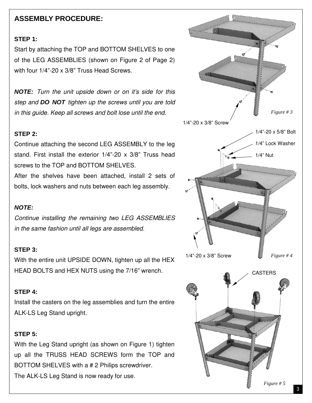### **ASSEMBLY PROCEDURE:**

#### **STEP 1:**

Start by attaching the TOP and BOTTOM SHELVES to one of the LEG ASSEMBLIES (shown on Figure 2 of Page 2) with four 1/4"-20 x 3/8" Truss Head Screws.

**NOTE:** Turn the unit upside down or on it's side for this step and **DO NOT** tighten up the screws until you are told in this guide. Keep all screws and bolt lose until the end.

#### **STEP 2:**

Continue attaching the second LEG ASSEMBLY to the leg stand. First install the exterior 1/4"-20 x 3/8" Truss head screws to the TOP and BOTTOM SHELVES.

After the shelves have been attached, install 2 sets of bolts, lock washers and nuts between each leg assembly.

#### **NOTE:**

Continue installing the remaining two LEG ASSEMBLIES in the same fashion until all legs are assembled.

#### **STEP 3:**

With the entire unit UPSIDE DOWN, tighten up all the HEX HEAD BOLTS and HEX NUTS using the 7/16" wrench.

#### **STEP 4:**

Install the casters on the leg assemblies and turn the entire ALK-LS Leg Stand upright.

#### **STEP 5:**

With the Leg Stand upright (as shown on Figure 1) tighten up all the TRUSS HEAD SCREWS form the TOP and BOTTOM SHELVES with a # 2 Philips screwdriver. The ALK-LS Leg Stand is now ready for use.